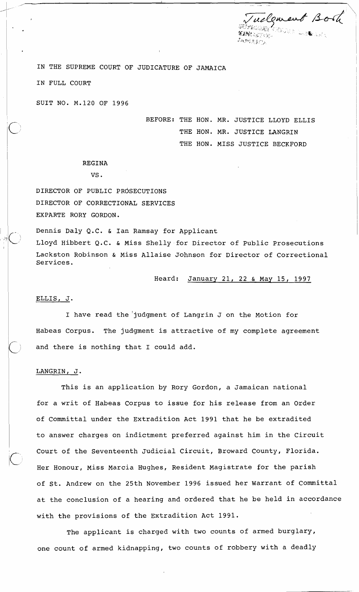relement Book roje la<del>n</del>ak 野兔肚的。

IN THE SUPREME COURT OF JUDICATURE OF JAMAICA

IN FULL COURT

SUIT NO. M.120 OF 1996

BEFORE: THE HON. MR. JUSTICE LLOYD ELLIS THE HON. MR. JUSTICE LANGRIN THE HON. MISS JUSTICE BECKFORD

# REGINA<br>VS.

DIRECTOR OF PUBLIC PROSECUTIONS <sup>I</sup>DIRECTOR OF CORRECTIONAL SERVICES EXPARTE RORY GORDON.

Lackston Robinson & Miss Allaise Johnson for Director of Correctional Services. Dennis Daly Q.C. & Ian Ramsay for Applicant Lloyd Hibbert Q.C. & Miss Shelly for Director of Public Prosecutions

Heard: January 21, 22 & May 15, 1997

### ELLIS, J.

I 111

I I

I

I have read the 'judgment of Langrin J on the Motion for Habeas Corpus. The judgment is attractive of my complete agreement and there is nothing that I could add.

## LANGRIN, J.

This is an application by Rory Gordon, a Jamaican national for a writ of Habeas Corpus to issue for his release from an Order of Committal under the Extradition Act 1991 that he be extradited to answer charges on indictment preferred against him in the Circuit Court of the Seventeenth Judicial Circuit, Broward County, Florida. Her Honour, Miss Marcia Hughes, Resident Magistrate for the parish of St. Andrew on the 25th November 1996 issued her Warrant of Committal at the conclusion of a hearing and ordered that he be held in accordance with the provisions of the Extradition Act 1991.

The applicant is charged with two counts of armed burglary, one count of armed kidnapping, two counts of robbery with a deadly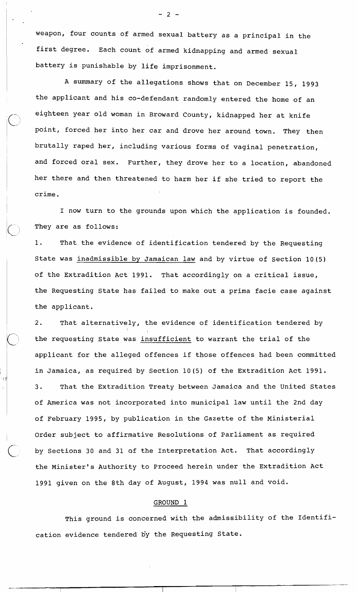weapon, four counts of armed sexual battery as a principal in the first degree. Each count of armed kidnapping and armed sexual battery is punishable by life imprisonment.

A summary of the allegations shows that on December 15, 1993 the applicant and his co-defendant randomly entered the home of an eighteen year old woman in Broward County, kidnapped her at knife point, forced her into her car and drove her around town. They then brutally raped her, including various forms of vaginal penetration, and forced oral sex. Further, they drove her to a location, abandoned her there and then threatened to harm her if she tried to report the crime.

I now turn to the grounds upon which the application is founded. They are as follows:

1. That the evidence of identification tendered by the Requesting State was inadmissible by Jamaican law and by virtue of Section 10(5) of the Extradition Act 1991. That accordingly on a critical issue, the Requesting State has failed to make out a prima facie case against the applicant.

2. That alternatively, the evidence of identification tendered by I I I I I the requesting State was insufficient to warrant the trial of the applicant for the alleged offences if those offences had been committed in Jamaica, as required by Section 10(5) of the Extradition Act 1991. 3. That the Extradition Treaty between Jamaica and the United States of America was not incorporated into municipal law until the 2nd day of February 1995, by publication in the Gazette of the Ministerial Order subject to affirmative Resolutions of Parliament as required by Sections 30 and 31 af the Interpretation Act. That accordingly the Minister's Authority to Proceed herein under the Extradition Act 1991 given on the 8th day of August, 1994 was null and void.

### GROUND 1

This ground is concerned with the admissibility of the Identification evidence tendered by the Requesting State.

 $-2-$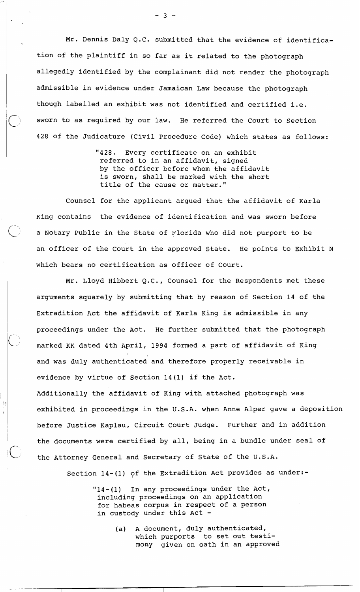Mr. Dennis Daly Q.C. submitted that the evidence of identification of the plaintiff in so far as it related to the photograph allegedly identified by the complainant did not render the photograph admissible in evidence under Jamaican Law because the photograph though labelled an exhibit was not identified and certified i.e. sworn to as required by our law. He referred the Court to Section 428 of the Judicature (Civil Procedure Code) which states as follows:

> "428. Every certificate on an exhibit referred to in an affidavit, signed by the officer before whom the affidavit is sworn, shall be marked with the short title of the cause or matter."

Counsel for the applicant argued that the affidavit of Karla King contains the evidence of identification and was sworn before a Notary Public in the State of Florida who did not purport to be an officer of the Court in the approved State. He points to Exhibit N which bears no certification as officer of Court.

Mr. Lloyd Hibbert Q.C., Counsel for the Respondents met these arguments squarely by submitting that by reason of Section 14 of the Extradition Act the affidavit of Karla King is admissible in any proceedings under the Act. He further submitted that the photograph marked KK dated 4th April, 1994 formed a part of affidavit of King and was duly authenticated and therefore properly receivable in evidence by virtue of Section 14 (1) if the Act. Additionally the affidavit of King with attached photograph was exhibited in proceedings in the U.S.A. when Anne Alper gave a deposition before Justice Kaplau, Circuit Court Judge. Further and in addition the documents were certified by all, being in a bundle under seal of the Attorney General and Secretary of State of the U.S.A.

-yi

Section 14-(1) of the Extradition Act provides as under:-

"14-(1) In any proceedings under the Act, including proceedings on an application for habeas corpus in respect of a person in custody under this Act -

> (a) A document, duly authenticated, which purporta to set out testimony given on oath in an approved

 $-3 -$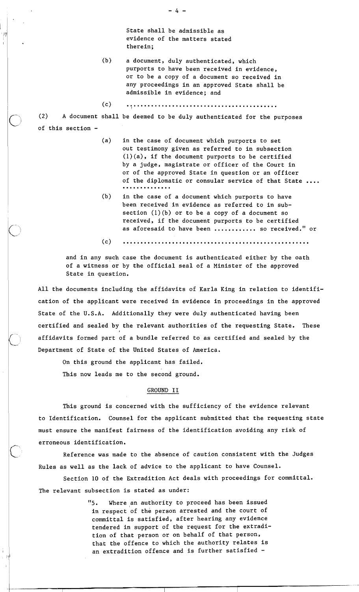State shall be admissible as evidence of the matters stated therein;

- (b) a document, duly authenticated, which purports to have been received in evidence, or to be a copy of a document so received in any proceedings in an approved State shall be admissible in evidence; and
- $(c)$

(2) A document shall be deemed to be duly authenticated for the purposes of this section -

- (a) in the case of document which purports to set out testimony given as referred to in subsection (l)(a), if the document purports to be certified by a judge, magistrate or officer of the Court in or of the approved State in question or an officer of the diplomatic or consular service of that State ....
- (b) in the case of a document which purports to have been received in evidence as referred to in subsection  $(1)(b)$  or to be a copy of a document so received, if the document purports to be certified as aforesaid to have been ............ so received." or

 $(c)$ 

and in any such case the document is authenticated either by the oath of a witness or by the official seal of a Minister of the approved State in question.

All the documents including the affidavits of Karla King in relation to identification of the applicant were received in evidence in proceedings in the approved State of the U.S.A. Additionally they were duly authenticated having been certified and sealed by the relevant authorities of the requesting State. These **I**  affidavits formed part of a bundle referred to as certified and sealed by the Department of State of the United States of America.

On this ground the applicant has failed.

This now leads me to the second ground.

#### GROUND I1

This ground is concerned with the sufficiency of the evidence relevant to Identification. Counsel for the applicant submitted that the requesting state must ensure the manifest fairness of the identification avoiding any risk of erroneous identification.

Reference was made to the absence of caution consistent with the Judges Rules as well as the lack of advice to the applicant to have Counsel.

Section 10 of the Extradition Act deals with proceedings for committal. The relevant subsection is stated as under:

> "5. Where an authority to proceed has been issued in respect of the person arrested and the court of committal is satisfied, after hearing any evidence tendered in support of the request for the extradition of that person or on behalf of that person, that the offence to which the authority relates is an extradition offence and is further satisfied -

 $-4-$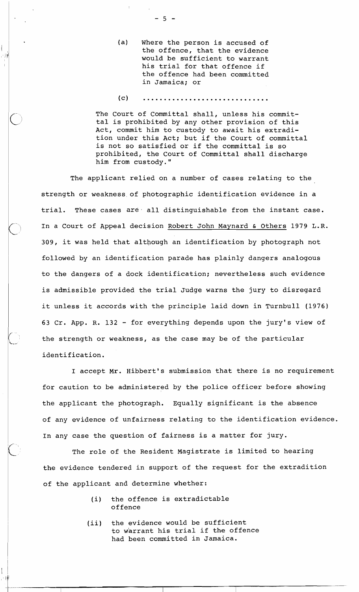- (a) Where the person is accused of the offence, that the evidence would be sufficient to warrant his trial for that offence if the offence had been committed in Jamaica; or
- $(c)$

The Court of Committal shall, unless his committal is prohibited by any other provision of this Act, commit him to custody to await his extradition under this Act; but if the Court of committal is not so satisfied or if the committal is so prohibited, the Court of Committal shall discharge him from custody."

The applicant relied on a number of cases relating to the strength or weakness.of photographic identification evidence in a trial. These cases **are.** all distinguishable from the instant case. In a Court of Appeal decision Robert John Maynard & Others 1979 L.R. 309, it was held that although an identification by photograph not followed by an identification parade has plainly dangers analogous to the dangers of a dock identification; nevertheless such evidence is admissible provided the trial Judge warns the jury to disregard it unless it accords with the principle laid down in Turnbull (1976) 63 Cr. App. R. 132 - for everything depends upon the jury's view of the strength or weakness, as the case may be of the particular identification.

I accept Mr. Hibbert's submission that there is no requirement for caution to be administered by the police officer before showing the applicant the photograph. Equally significant is the absence of any evidence of unfairness relating to the identification evidence. In any case the question of fairness is a matter for jury.

The role of the Resident Magistrate is limited to hearing the evidence tendered in support of the request for the extradition of the applicant and determine whether:

- (i) the offence is extradictable offence
- (ii) the evidence would be sufficient to warrant his trial if the offence had been committed in Jamaica.

 $-5 -$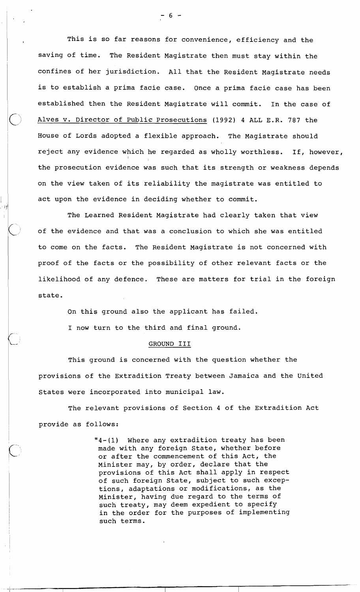This is so far reasons for convenience, efficiency and the saving of time. The Resident Magistrate then must stay within the confines of her jurisdiction. All that the Resident Magistrate needs is to establish a prima facie case. Once a prima facie case has been established then the Resident Magistrate will commit. In the case of C? Alves v. Director of Public Prosecutions **(1992) 4** ALL E.R. **787** the <sup>1</sup>House of Lords adopted a flexible approach. The Magistrate should reject any evidence which he regarded as wholly worthless. If, however, I I the prosecution evidence was such that its strength or weakness depends on the view taken of its reliability the magistrate was entitled to act upon the evidence in deciding whether to commit.

The Learned Resident Magistrate had clearly taken that view the prosecution evidence was such that its strength or weakness depe<br>on the view taken of its reliability the magistrate was entitled to<br>act upon the evidence in deciding whether to commit.<br>The Learned Resident Magistrate to come on the facts. The Resident Magistrate is not concerned with proof of the facts or the possibility of other relevant facts or the likelihood of any defence. These are matters for trial in the foreign state.

On this ground also the applicant has failed.

I now turn to the third and final ground.

#### GROUND I11

This ground is concerned with the question whether the provisions of the Extradition Treaty between Jamaica and the United States were incorporated into municipal law.

1 The relevant provisions of Section **4** of the Extradition Act provide as follows:

> **"4-(1)** Where any extradition treaty has been made with any foreign State, whether before or after the commencement of this Act, the Minister may, by order, declare that the provisions of this Act shall apply in respect of such foreign State, subject to such exceptions, adaptations or modifications, as the Minister, having due regard to the terms of such treaty, may deem expedient to specify in the order for the purposes of implementing such terms.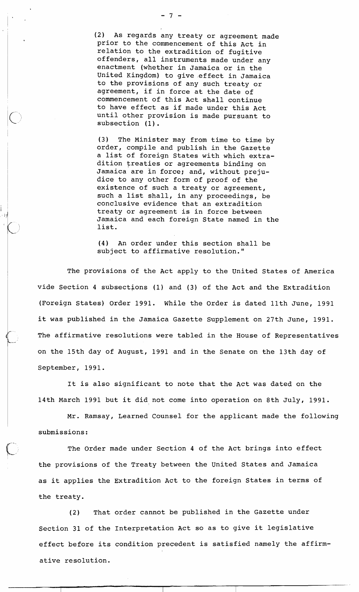(2) As regards any treaty or agreement made prior to the commencement of this Act in relation to the extradition of fugitive offenders, all instruments made under any enactment (whether in Jamaica or in the United Kingdom) to give effect in Jamaica to the provisions of any such treaty or agreement, if in force at the date of commencement of this Act shall continue to have effect as if made under this Act until other provision is made pursuant to subsection (1) .

 $(3)$  The Minister may from time to time by order, compile and publish in the Gazette a list of foreign States with which extradition treaties or agreements binding on Jamaica are in force; and, without prejudice to any other form of proof of the existence of such a treaty or agreement, such a list shall, in any proceedings, be conclusive evidence that an extradition treaty or agreement is in force between Jamaica and each foreign State named in the list.

(4) An order under this section shall be subject to affirmative resolution."

The provisions of the Act apply to the United States of America vide Section 4 subsections (1) and (3) of the Act and the Extradition (Foreign States) Order 1991. While the Order is dated 11th June, 1991 it was published in the Jamaica Gazette Supplement on 27th June, 1991. (Foreign States) Order 1991. While the Order is dated 11th June, 1991<br>it was published in the Jamaica Gazette Supplement on 27th June, 1991.<br>The affirmative resolutions were tabled in the House of Representatives<br>on the 15 1 on the 15th day of August, 1991 and in the Senate on the 13th day of <sup>1</sup>September, 1991.

It is also significant to note that the Act was dated on the 14th March 1991 but it did not come into operation on 8th July, 1991.

Mr. Ramsay, Learned Counsel for the applicant made the following submissions:

The Order made under Section 4 of the Act brings into effect the provisions of the Treaty between the United States and Jamaica as it applies the Extradition Act to the foreign States in terms of the treaty.

(2) That order cannot be published in the Gazette under Section 31 of the Interpretation Act so as to give it legislative effect before its condition precedent is satisfied namely the affirmative resolution.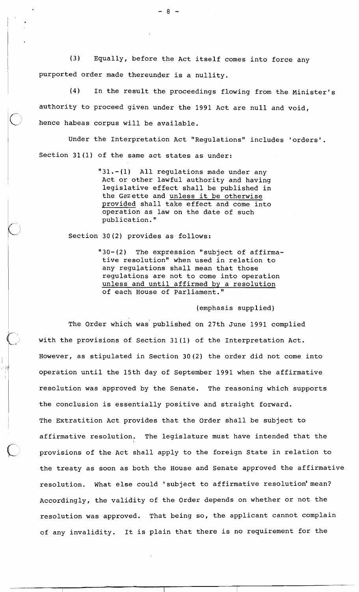(3) Equally, before the Act itself comes into force any purported order made thereunder is a nullity.

(4) In the result the proceedings flowing from the Minister's authority to proceed given under the 1991 Act are null and void, hence habeas corpus will be available.

Under the Interpretation Act "Regulations" includes 'orders'. Section 31(1) of the same act states as under:

> " $31. - (1)$  All regulations made under any Act or other lawful authority and having legislative effect shall be published in the Gazette and unless it be otherwise provided shall take effect and come into operation as law on the date of such publication."

Section 30(2) provides as follows:

I

"30-(2) The expression "subject of affirmative resolution" when used in relation to any regulations shall mean that those regulations are not to come into operation unless and until affirmed by a resolution of each House of Parliament."

(emphasis supplied)

The Order which was' published on 27th June 1991 complied with the provisions of Section 31(1) of the Interpretation Act. However, as stipulated in Section 30(2) the order did not come into operation until the 15th day of September 1991 when the affirmative resolution was approved by the Senate. The reasoning which supports the conclusion is essentially positive and straight forward. The Extratition Act provides that the Order shall be subject to affirmative resolution. The legislature must have intended that the provisions of the Act shall apply to the foreign State in relation to the treaty as soon as both the House and Senate approved the affirmative resolution. What else could 'subject to affirmative resolution' mean? Accordingly, the validity of the Order depends on whether or not the resolution was approved. That being so, the applicant cannot complain of any invalidity. It is plain that there is no requirement for the

 $-8-$